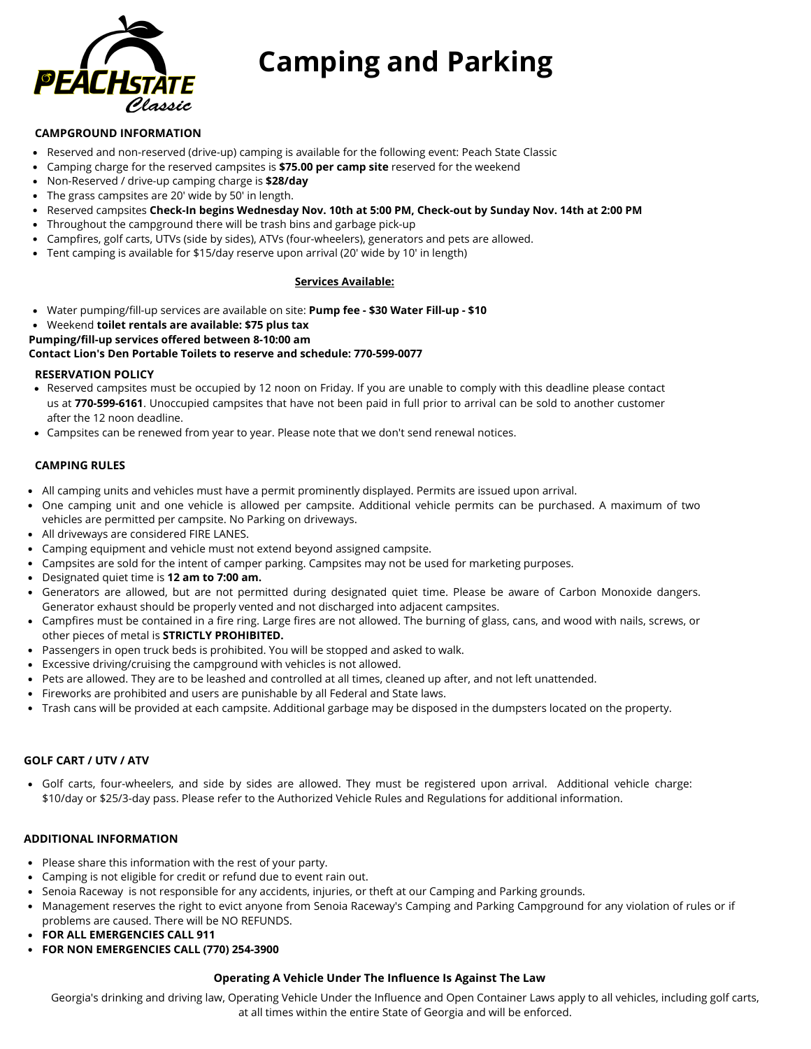

## **Camping and Parking**

#### **CAMPGROUND INFORMATION**

- Reserved and non-reserved (drive-up) camping is available for the following event: Peach State Classic
- Camping charge for the reserved campsites is **\$75.00 per camp site** reserved for the weekend
- $\bullet$ Non-Reserved / drive-up camping charge is **\$28/day**
- The grass campsites are 20' wide by 50' in length.
- Reserved campsites **Check-In begins Wednesday Nov. 10th at 5:00 PM, Check-out by Sunday Nov. 14th at 2:00 PM**
- Throughout the campground there will be trash bins and garbage pick-up
- Campfires, golf carts, UTVs (side by sides), ATVs (four-wheelers), generators and pets are allowed.
- Tent camping is available for \$15/day reserve upon arrival (20' wide by 10' in length)

#### **Services Available:**

- Water pumping/fill-up services are available on site: **Pump fee \$30 Water Fill-up \$10**
- Weekend **toilet rentals are available: \$75 plus tax**
- **Pumping/fill-up services offered between 8-10:00 am**

#### **Contact Lion's Den Portable Toilets to reserve and schedule: 770-599-0077**

#### **RESERVATION POLICY**

- Reserved campsites must be occupied by 12 noon on Friday. If you are unable to comply with this deadline please contact us at **770-599-6161**. Unoccupied campsites that have not been paid in full prior to arrival can be sold to another customer after the 12 noon deadline.
- Campsites can be renewed from year to year. Please note that we don't send renewal notices.

#### **CAMPING RULES**

- All camping units and vehicles must have a permit prominently displayed. Permits are issued upon arrival.
- One camping unit and one vehicle is allowed per campsite. Additional vehicle permits can be purchased. A maximum of two vehicles are permitted per campsite. No Parking on driveways.
- All driveways are considered FIRE LANES.
- Camping equipment and vehicle must not extend beyond assigned campsite.
- Campsites are sold for the intent of camper parking. Campsites may not be used for marketing purposes.
- Designated quiet time is **12 am to 7:00 am.**
- Generators are allowed, but are not permitted during designated quiet time. Please be aware of Carbon Monoxide dangers. Generator exhaust should be properly vented and not discharged into adjacent campsites.
- Campfires must be contained in a fire ring. Large fires are not allowed. The burning of glass, cans, and wood with nails, screws, or other pieces of metal is **STRICTLY PROHIBITED.**
- Passengers in open truck beds is prohibited. You will be stopped and asked to walk.
- Excessive driving/cruising the campground with vehicles is not allowed.
- Pets are allowed. They are to be leashed and controlled at all times, cleaned up after, and not left unattended.
- Fireworks are prohibited and users are punishable by all Federal and State laws.
- Trash cans will be provided at each campsite. Additional garbage may be disposed in the dumpsters located on the property.

#### **GOLF CART / UTV / ATV**

Golf carts, four-wheelers, and side by sides are allowed. They must be registered upon arrival. Additional vehicle charge: \$10/day or \$25/3-day pass. Please refer to the Authorized Vehicle Rules and Regulations for additional information.

#### **ADDITIONAL INFORMATION**

- Please share this information with the rest of your party.
- Camping is not eligible for credit or refund due to event rain out.
- Senoia Raceway is not responsible for any accidents, injuries, or theft at our Camping and Parking grounds.
- Management reserves the right to evict anyone from Senoia Raceway's Camping and Parking Campground for any violation of rules or if problems are caused. There will be NO REFUNDS.
- **FOR ALL EMERGENCIES CALL 911**
- **FOR NON EMERGENCIES CALL (770) 254-3900**

#### **Operating A Vehicle Under The Influence Is Against The Law**

Georgia's drinking and driving law, Operating Vehicle Under the Influence and Open Container Laws apply to all vehicles, including golf carts, at all times within the entire State of Georgia and will be enforced.